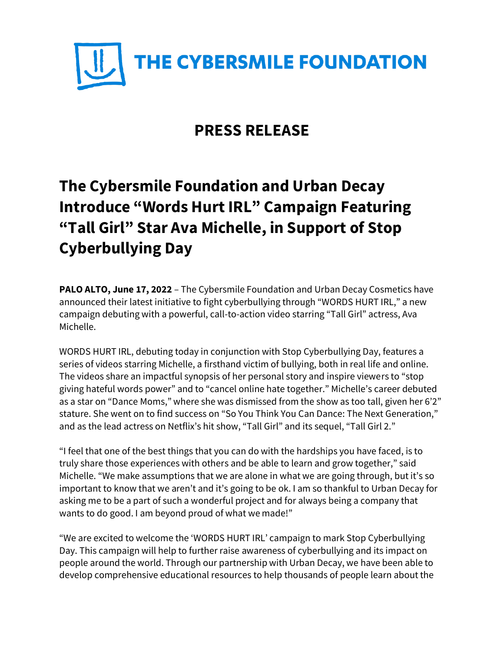

## **PRESS RELEASE**

# **The Cybersmile Foundation and Urban Decay Introduce "Words Hurt IRL" Campaign Featuring "Tall Girl" Star Ava Michelle, in Support of Stop Cyberbullying Day**

**PALO ALTO, June 17, 2022** – The Cybersmile Foundation and Urban Decay Cosmetics have announced their latest initiative to fight cyberbullying through "WORDS HURT IRL," a new campaign debuting with a powerful, call-to-action video starring "Tall Girl" actress, Ava Michelle.

WORDS HURT IRL, debuting today in conjunction with Stop Cyberbullying Day, features a series of videos starring Michelle, a firsthand victim of bullying, both in real life and online. The videos share an impactful synopsis of her personal story and inspire viewers to "stop giving hateful words power" and to "cancel online hate together." Michelle's career debuted as a star on "Dance Moms," where she was dismissed from the show as too tall, given her 6'2" stature. She went on to find success on "So You Think You Can Dance: The Next Generation," and as the lead actress on Netflix's hit show, "Tall Girl" and its sequel, "Tall Girl 2."

"I feel that one of the best things that you can do with the hardships you have faced, is to truly share those experiences with others and be able to learn and grow together," said Michelle. "We make assumptions that we are alone in what we are going through, but it's so important to know that we aren't and it's going to be ok. I am so thankful to Urban Decay for asking me to be a part of such a wonderful project and for always being a company that wants to do good. I am beyond proud of what we made!"

"We are excited to welcome the 'WORDS HURT IRL' campaign to mark Stop Cyberbullying Day. This campaign will help to further raise awareness of cyberbullying and its impact on people around the world. Through our partnership with Urban Decay, we have been able to develop comprehensive educational resources to help thousands of people learn about the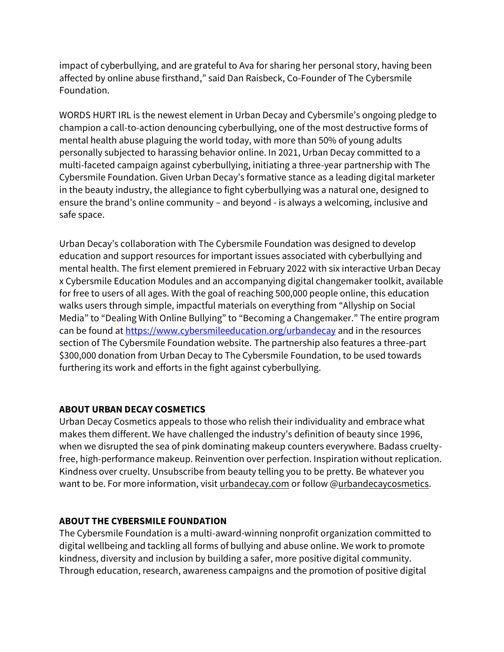impact of cyberbullying, and are grateful to Ava for sharing her personal story, having been affected by online abuse firsthand," said Dan Raisbeck, Co-Founder of The Cybersmile Foundation.

WORDS HURT IRL is the newest element in Urban Decay and Cybersmile's ongoing pledge to champion a call-to-action denouncing cyberbullying, one of the most destructive forms of mental health abuse plaguing the world today, with more than 50% of young adults personally subjected to harassing behavior online. In 2021, Urban Decay committed to a multi-faceted campaign against cyberbullying, initiating a three-year partnership with The Cybersmile Foundation. Given Urban Decay's formative stance as a leading digital marketer in the beauty industry, the allegiance to fight cyberbullying was a natural one, designed to ensure the brand's online community – and beyond - is always a welcoming, inclusive and safe space.

Urban Decay's collaboration with The Cybersmile Foundation was designed to develop education and support resources for important issues associated with cyberbullying and mental health. The first element premiered in February 2022 with six interactive Urban Decay x Cybersmile Education Modules and an accompanying digital changemaker toolkit, available for free to users of all ages. With the goal of reaching 500,000 people online, this education walks users through simple, impactful materials on everything from "Allyship on Social Media" to "Dealing With Online Bullying" to "Becoming a Changemaker." The entire program can be found a[t https://www.cybersmileeducation.org/urbandecay](https://cybersmileeducation.org/urbandecay/) and in the resources section of The Cybersmile Foundation website. The partnership also features a three-part \$300,000 donation from Urban Decay to The Cybersmile Foundation, to be used towards furthering its work and efforts in the fight against cyberbullying.

#### **ABOUT URBAN DECAY COSMETICS**

Urban Decay Cosmetics appeals to those who relish their individuality and embrace what makes them different. We have challenged the industry's definition of beauty since 1996, when we disrupted the sea of pink dominating makeup counters everywhere. Badass crueltyfree, high-performance makeup. Reinvention over perfection. Inspiration without replication. Kindness over cruelty. Unsubscribe from beauty telling you to be pretty. Be whatever you want to be. For more information, visi[t urbandecay.com](https://www.urbandecay.com/) or follow [@urbandecaycosmetics.](https://www.instagram.com/urbandecaycosmetics/)

#### **ABOUT THE CYBERSMILE FOUNDATION**

The Cybersmile Foundation is a multi-award-winning nonprofit organization committed to digital wellbeing and tackling all forms of bullying and abuse online. We work to promote kindness, diversity and inclusion by building a safer, more positive digital community. Through education, research, awareness campaigns and the promotion of positive digital